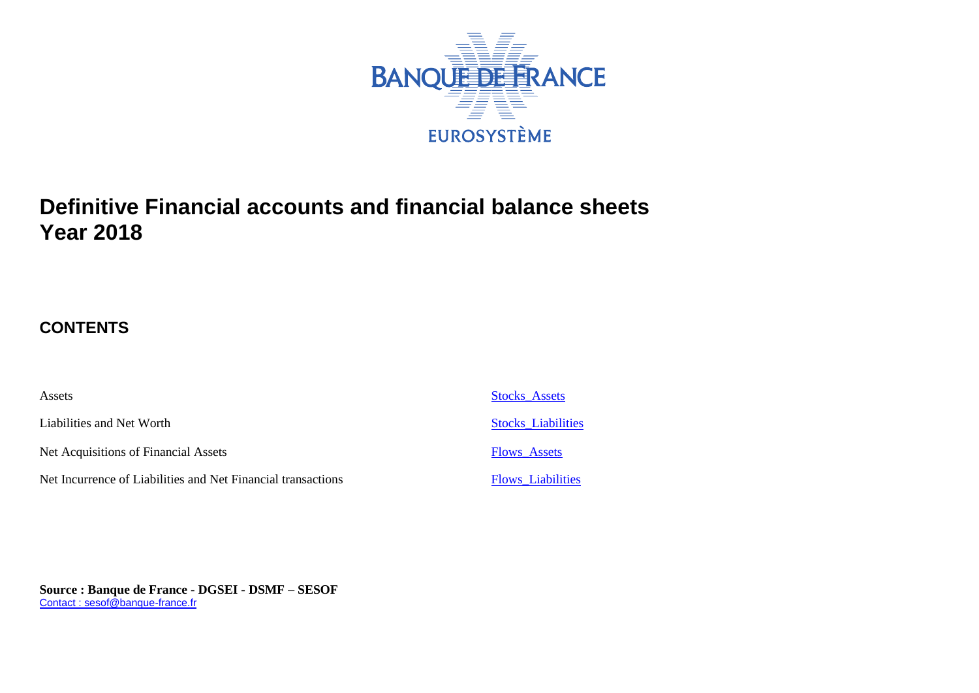

# **Definitive Financial accounts and financial balance sheets Year 2018**

## **CONTENTS**

Liabilities and Net Worth Stocks Liabilities

Net Acquisitions of Financial Assets [Flows\\_Assets](#page-3-0)

Net Incurrence of Liabilities and Net Financial transactions [Flows\\_Liabilities](#page-4-0)

Assets [Stocks\\_Assets](#page-1-0)

**Source : Banque de France - DGSEI - DSMF – SESOF** [Contact : sesof@banque-france.fr](mailto:sesof@banque-france.fr)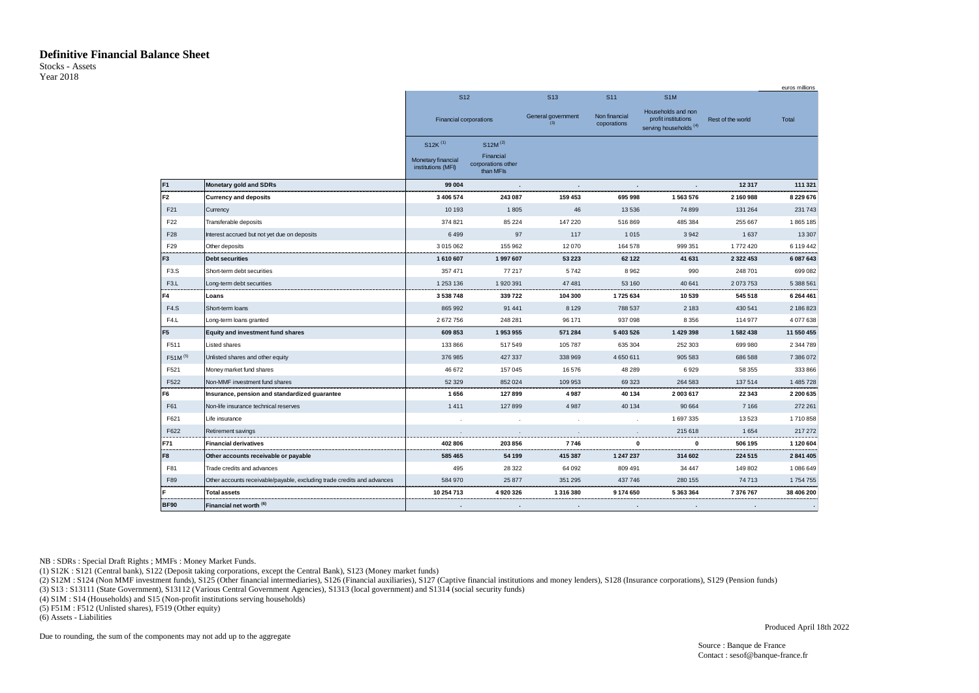### **Definitive Financial Balance Sheet**

<span id="page-1-0"></span>Stocks - Assets Year 2018

|                     |                                                                         |                                          |                                              |                           |                              |                                                                                |                      | euros millions |
|---------------------|-------------------------------------------------------------------------|------------------------------------------|----------------------------------------------|---------------------------|------------------------------|--------------------------------------------------------------------------------|----------------------|----------------|
|                     |                                                                         | S <sub>12</sub>                          |                                              | <b>S13</b>                | S <sub>11</sub>              | S <sub>1</sub> M                                                               |                      |                |
|                     |                                                                         | Financial corporations                   |                                              | General government<br>(3) | Non financial<br>coporations | Households and non<br>profit institutions<br>serving households <sup>(4)</sup> | Rest of the world    | Total          |
|                     |                                                                         | $S12K$ <sup>(1)</sup>                    | $S12M^{(2)}$                                 |                           |                              |                                                                                |                      |                |
|                     |                                                                         | Monetary financial<br>institutions (MFI) | Financial<br>corporations other<br>than MFIs |                           |                              |                                                                                |                      |                |
| F <sub>1</sub>      | Monetary gold and SDRs                                                  | 99 004                                   |                                              |                           |                              |                                                                                | 12317                | 111 321        |
| lF2                 | <b>Currency and deposits</b>                                            | 3 406 574                                | 243 087                                      | 159 453                   | 695 998                      | 1563576                                                                        | 2 160 988            | 8 2 2 9 6 7 6  |
| F <sub>21</sub>     | Currency                                                                | 10 193                                   | 1805                                         | 46                        | 13 5 36                      | 74 899                                                                         | 131 264              | 231 743        |
| F22                 | Transferable deposits                                                   | 374 821                                  | 85 2 24                                      | 147 220                   | 516 869                      | 485 384                                                                        | 255 667              | 1865 185       |
| F28                 | Interest accrued but not yet due on deposits                            | 6499                                     | 97                                           | 117                       | 1015                         | 3942                                                                           | 1637                 | 13 307         |
| F <sub>29</sub>     | Other deposits                                                          | 3015062                                  | 155 962                                      | 12 070                    | 164 578                      | 999 351                                                                        | 1772420              | 6 119 442      |
| F3                  | <b>Debt securities</b>                                                  | 1610607                                  | 1997607                                      | 53 223                    | 62 122                       | 41 631                                                                         | 2 3 2 2 4 5 3        | 6 087 643      |
| F <sub>3.</sub> S   | Short-term debt securities                                              | 357 471                                  | 77217                                        | 5742                      | 8962                         | 990                                                                            | 248 701              | 699 082        |
| F <sub>3</sub> .L   | Long-term debt securities                                               | 1 253 136                                | 1920391                                      | 47 481                    | 53 160                       | 40 641                                                                         | 2073753              | 5 388 561      |
| F <sub>4</sub>      | Loans                                                                   | 3 538 748                                | 339722                                       | 104 300                   | 1725 634                     | 10539                                                                          | 545 518              | 6 264 461      |
| F4.S                | Short-term loans                                                        | 865 992                                  | 91 4 4 1                                     | 8 1 2 9                   | 788 537                      | 2 1 8 3                                                                        | 430 541              | 2 186 823      |
| F4.L                | Long-term loans granted                                                 | 2672756                                  | 248 281                                      | 96 171                    | 937 098                      | 8 3 5 6                                                                        | 114 977              | 4 077 638      |
| F <sub>5</sub>      | Equity and investment fund shares                                       | 609853                                   | 1953955                                      | 571 284                   | 5 403 526                    | 1 429 398                                                                      | 1582438              | 11 550 455     |
| F511                | Listed shares                                                           | 133 866                                  | 517549                                       | 105 787                   | 635 304                      | 252 303                                                                        | 699 980              | 2 344 789      |
| F51M <sup>(5)</sup> | Unlisted shares and other equity                                        | 376 985                                  | 427 337                                      | 338 969                   | 4650611                      | 905 583                                                                        | 686 588              | 7 386 072      |
| F521                | Money market fund shares                                                | 46 672                                   | 157 045                                      | 16 576                    | 48 289                       | 6929                                                                           | 58 355               | 333 866        |
| F522                | Non-MMF investment fund shares                                          | 52 329                                   | 852024                                       | 109 953                   | 69 323                       | 264 583                                                                        | 137 514              | 1 485 728      |
| F6                  | Insurance, pension and standardized guarantee                           | 1656                                     | 127899                                       | 4987                      | 40 134                       | 2003617                                                                        | 22 343               | 2 200 635      |
| F61                 | Non-life insurance technical reserves                                   | 1411                                     | 127899                                       | 4 9 8 7                   | 40 134                       | 90 664                                                                         | 7 1 6 6              | 272 261        |
| F621                | Life insurance                                                          |                                          | $\cdot$                                      |                           |                              | 1 697 335                                                                      | 13523                | 1710858        |
| F622                | Retirement savings                                                      | $\cdot$                                  |                                              | $\cdot$                   |                              | 215 618                                                                        | 1654                 | 217 272        |
| F71                 | <b>Financial derivatives</b>                                            | 402 806                                  | 203 856                                      | 7746                      | $\mathbf 0$                  | $\mathbf{0}$                                                                   | 506 195              | 1 120 604      |
| F8                  | Other accounts receivable or payable                                    | 585 465                                  | 54 199                                       | 415 387                   | 1 247 237                    | 314 602                                                                        | 224 515              | 2 841 405      |
| F81                 | Trade credits and advances                                              | 495                                      | 28 3 22                                      | 64 092                    | 809 491                      | 34 447                                                                         | 149 802              | 1 086 649      |
| F89                 | Other accounts receivable/payable, excluding trade credits and advances | 584 970                                  | 25 877                                       | 351 295                   | 437 746                      | 280 155                                                                        | 74713                | 1754755        |
| F                   | <b>Total assets</b>                                                     | 10 254 713                               | 4920326                                      | 1316380                   | 9 174 650                    | 5 363 364                                                                      | 7376767              | 38 406 200     |
| <b>BF90</b>         | Financial net worth (6)                                                 | ٠                                        | $\mathbf{r}$                                 | $\cdot$                   | $\cdot$                      | $\ddot{\phantom{a}}$                                                           | $\ddot{\phantom{a}}$ |                |

NB : SDRs : Special Draft Rights ; MMFs : Money Market Funds.

(1) S12K : S121 (Central bank), S122 (Deposit taking corporations, except the Central Bank), S123 (Money market funds)

(2) S12M : S124 (Non MMF investment funds), S125 (Other financial intermediaries), S126 (Financial auxiliaries), S127 (Captive financial institutions and money lenders), S128 (Insurance corporations), S129 (Pension funds)

(3) S13 : S13111 (State Government), S13112 (Various Central Government Agencies), S1313 (local government) and S1314 (social security funds)

(4) S1M : S14 (Households) and S15 (Non-profit institutions serving households)

(5) F51M : F512 (Unlisted shares), F519 (Other equity)

(6) Assets - Liabilities

Due to rounding, the sum of the components may not add up to the aggregate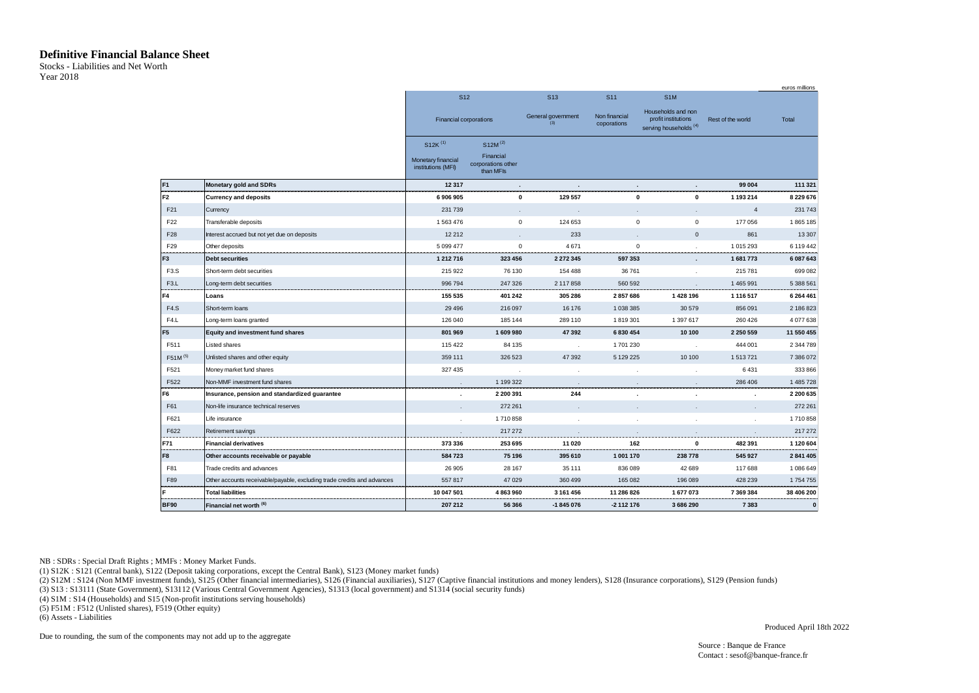#### **Definitive Financial Balance Sheet**

<span id="page-2-0"></span>Stocks - Liabilities and Net Worth Year 2018

|                     |                                                                         |                                          |                                              |                           |                              |                                                                                |                   | euros millions |
|---------------------|-------------------------------------------------------------------------|------------------------------------------|----------------------------------------------|---------------------------|------------------------------|--------------------------------------------------------------------------------|-------------------|----------------|
|                     |                                                                         | S <sub>12</sub>                          |                                              | <b>S13</b>                | S <sub>11</sub>              | S <sub>1</sub> M                                                               |                   |                |
|                     |                                                                         | <b>Financial corporations</b>            |                                              | General government<br>(3) | Non financial<br>coporations | Households and non<br>profit institutions<br>serving households <sup>(4)</sup> | Rest of the world | Total          |
|                     |                                                                         | $S12K$ <sup>(1)</sup>                    | $S12M^{(2)}$                                 |                           |                              |                                                                                |                   |                |
|                     |                                                                         | Monetary financial<br>institutions (MFI) | Financial<br>corporations other<br>than MFIs |                           |                              |                                                                                |                   |                |
| F <sub>1</sub>      | Monetary gold and SDRs                                                  | 12317                                    | $\sim$                                       | $\sim$                    |                              | $\ddot{\phantom{a}}$                                                           | 99 004            | 111 321        |
| F <sub>2</sub>      | <b>Currency and deposits</b>                                            | 6906905                                  | $\mathbf{0}$                                 | 129 557                   |                              | 0<br>$\mathbf 0$                                                               | 1 193 214         | 8 229 676      |
| F21                 | Currency                                                                | 231 739                                  | $\mathbf{r}$                                 | $\mathbf{r}$              |                              |                                                                                | $\overline{4}$    | 231 743        |
| F <sub>22</sub>     | Transferable deposits                                                   | 1563476                                  | $\mathbf 0$                                  | 124 653                   |                              | $\mathbf 0$<br>$\mathsf 0$                                                     | 177 056           | 1865 185       |
| F28                 | Interest accrued but not yet due on deposits                            | 12 2 12                                  |                                              | 233                       |                              | $\mathbf{0}$                                                                   | 861               | 13 307         |
| F <sub>29</sub>     | Other deposits                                                          | 5 0 9 4 4 7 7                            | $\mathbf 0$                                  | 4671                      |                              | 0<br>$\cdot$                                                                   | 1 015 293         | 6 119 442      |
| F <sub>3</sub>      | <b>Debt securities</b>                                                  | 1 212 716                                | 323 456                                      | 2 2 7 2 3 4 5             | 597 353                      |                                                                                | 1681773           | 6 087 643      |
| F3.S                | Short-term debt securities                                              | 215 922                                  | 76 130                                       | 154 488                   | 36 761                       |                                                                                | 215 781           | 699 082        |
| F <sub>3</sub> .L   | Long-term debt securities                                               | 996 794                                  | 247 326                                      | 2 117 858                 | 560 592                      | $\mathbf{r}$                                                                   | 1465991           | 5 388 561      |
| F4                  | Loans                                                                   | 155 535                                  | 401 242                                      | 305 286                   | 2857686                      | 1 428 196                                                                      | 1 116 517         | 6 264 461      |
| F <sub>4.</sub> S   | Short-term loans                                                        | 29 4 9 6                                 | 216 097                                      | 16 176                    | 1038385                      | 30 579                                                                         | 856 091           | 2 186 823      |
| F4.L                | Long-term loans granted                                                 | 126 040                                  | 185 144                                      | 289 110                   | 1819301                      | 1 397 617                                                                      | 260 426           | 4 077 638      |
| F <sub>5</sub>      | <b>Equity and investment fund shares</b>                                | 801 969                                  | 1609980                                      | 47 392                    | 6 830 454                    | 10 100                                                                         | 2 250 559         | 11 550 455     |
| F511                | Listed shares                                                           | 115 422                                  | 84 135                                       | $\cdot$                   | 1701230                      |                                                                                | 444 001           | 2 344 789      |
| F51M <sup>(5)</sup> | Unlisted shares and other equity                                        | 359 111                                  | 326 523                                      | 47 392                    | 5 129 225                    | 10 100                                                                         | 1513721           | 7 386 072      |
| F521                | Money market fund shares                                                | 327 435                                  |                                              |                           |                              |                                                                                | 6431              | 333 866        |
| F522                | Non-MMF investment fund shares                                          | $\cdot$                                  | 1 199 322                                    | $\blacksquare$            |                              |                                                                                | 286 406           | 1 485 728      |
| F6                  | Insurance, pension and standardized guarantee                           | ×                                        | 2 200 391                                    | 244                       |                              |                                                                                | $\epsilon$        | 2 200 635      |
| F61                 | Non-life insurance technical reserves                                   | $\cdot$                                  | 272 261                                      |                           |                              |                                                                                |                   | 272 261        |
| F621                | Life insurance                                                          |                                          | 1710858                                      |                           |                              |                                                                                | $\cdot$           | 1710858        |
| F622                | Retirement savings                                                      | $\cdot$                                  | 217 272                                      | $\cdot$                   |                              | $\sim$                                                                         | $\sim$            | 217 272        |
| F71                 | <b>Financial derivatives</b>                                            | 373 336                                  | 253 695                                      | 11 0 20                   | 162                          | $\mathbf 0$                                                                    | 482 391           | 1 120 604      |
| F <sub>8</sub>      | Other accounts receivable or payable                                    | 584723                                   | 75 196                                       | 395 610                   | 1 001 170                    | 238778                                                                         | 545 927           | 2 841 405      |
| F81                 | Trade credits and advances                                              | 26 905                                   | 28 167                                       | 35 111                    | 836 089                      | 42 689                                                                         | 117688            | 1 086 649      |
| F89                 | Other accounts receivable/payable, excluding trade credits and advances | 557817                                   | 47 0 29                                      | 360 499                   | 165 082                      | 196 089                                                                        | 428 239           | 1754755        |
| F.                  | <b>Total liabilities</b>                                                | 10 047 501                               | 4863960                                      | 3 161 456                 | 11 286 826                   | 1677073                                                                        | 7 369 384         | 38 406 200     |
| <b>BF90</b>         | Financial net worth <sup>(6)</sup>                                      | 207 212                                  | 56 366                                       | $-1845076$                | $-2$ 112 176                 | 3686290                                                                        | 7383              | 0              |

NB : SDRs : Special Draft Rights ; MMFs : Money Market Funds.

(1) S12K : S121 (Central bank), S122 (Deposit taking corporations, except the Central Bank), S123 (Money market funds)

(2) S12M : S124 (Non MMF investment funds), S125 (Other financial intermediaries), S126 (Financial auxiliaries), S127 (Captive financial institutions and money lenders), S128 (Insurance corporations), S129 (Pension funds)

(3) S13 : S13111 (State Government), S13112 (Various Central Government Agencies), S1313 (local government) and S1314 (social security funds)

(4) S1M : S14 (Households) and S15 (Non-profit institutions serving households)

(5) F51M : F512 (Unlisted shares), F519 (Other equity)

(6) Assets - Liabilities

Due to rounding, the sum of the components may not add up to the aggregate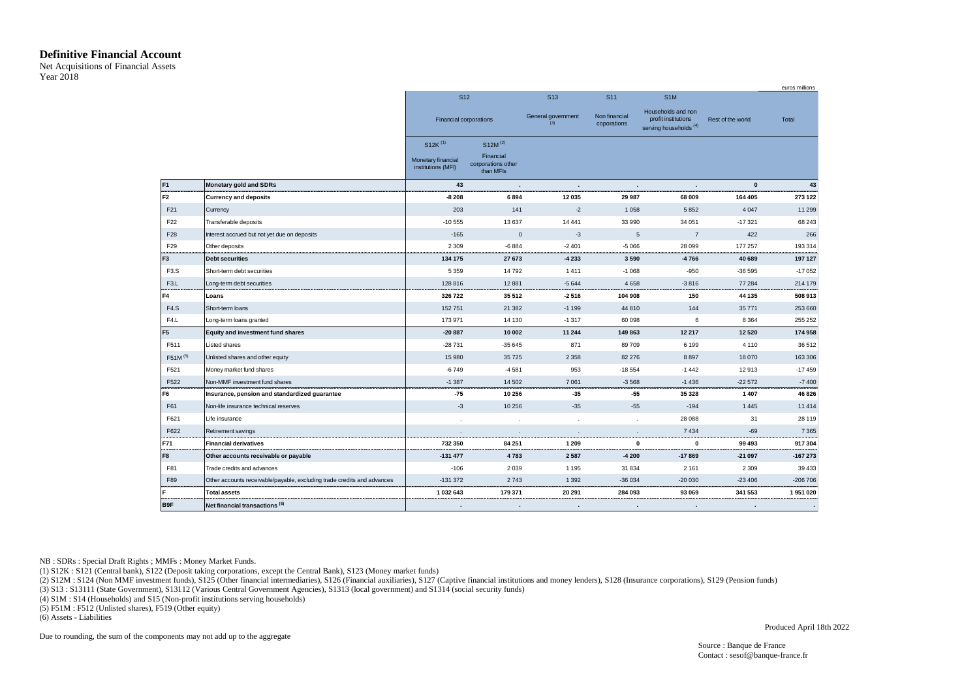#### **Definitive Financial Account**

<span id="page-3-0"></span>Net Acquisitions of Financial Assets Year 2018

|                     |                                                                         |                                          |                                                          |                           |                              |                                                                                |                   | euros millions |
|---------------------|-------------------------------------------------------------------------|------------------------------------------|----------------------------------------------------------|---------------------------|------------------------------|--------------------------------------------------------------------------------|-------------------|----------------|
|                     |                                                                         | S <sub>12</sub>                          |                                                          | <b>S13</b>                | S <sub>11</sub>              | S <sub>1</sub> M                                                               |                   |                |
|                     |                                                                         | <b>Financial corporations</b>            |                                                          | General government<br>(3) | Non financial<br>coporations | Households and non<br>profit institutions<br>serving households <sup>(4)</sup> | Rest of the world | Total          |
|                     |                                                                         | S12K <sup>(1)</sup>                      | $S12M^{(2)}$                                             |                           |                              |                                                                                |                   |                |
|                     |                                                                         | Monetary financial<br>institutions (MFI) | Financial<br>corporations other<br>than MF <sub>Is</sub> |                           |                              |                                                                                |                   |                |
| F <sub>1</sub>      | <b>Monetary gold and SDRs</b>                                           | 43                                       | $\sim$                                                   | $\sim$                    | $\sim$                       | $\cdot$                                                                        | $\mathbf{0}$      | 43             |
| F <sub>2</sub>      | <b>Currency and deposits</b>                                            | $-8208$                                  | 6894                                                     | 12 035                    | 29 987                       | 68 009                                                                         | 164 405           | 273 122        |
| F21                 | Currency                                                                | 203                                      | 141                                                      | $-2$                      | 1 0 5 8                      | 5852                                                                           | 4 0 4 7           | 11 299         |
| F <sub>22</sub>     | Transferable deposits                                                   | $-10555$                                 | 13637                                                    | 14 4 4 1                  | 33 990                       | 34 051                                                                         | $-17321$          | 68 243         |
| F <sub>28</sub>     | Interest accrued but not yet due on deposits                            | $-165$                                   | $\mathbf{0}$                                             | $-3$                      | 5                            | $\overline{7}$                                                                 | 422               | 266            |
| F <sub>29</sub>     | Other deposits                                                          | 2 3 0 9                                  | $-6884$                                                  | $-2401$                   | $-5066$                      | 28 0 9 9                                                                       | 177 257           | 193 314        |
| F3                  | <b>Debt securities</b>                                                  | 134 175                                  | 27 673                                                   | -4 233                    | 3590                         | $-4766$                                                                        | 40 689            | 197 127        |
| F <sub>3.</sub> S   | Short-term debt securities                                              | 5 3 5 9                                  | 14792                                                    | 1411                      | $-1068$                      | $-950$                                                                         | $-36595$          | $-17052$       |
| F <sub>3</sub> .L   | Long-term debt securities                                               | 128 816                                  | 12881                                                    | $-5644$                   | 4658                         | $-3816$                                                                        | 77 284            | 214 179        |
| F4                  | Loans                                                                   | 326 722                                  | 35 512                                                   | $-2516$                   | 104 908                      | 150                                                                            | 44 135            | 508 913        |
| F4.S                | Short-term loans                                                        | 152 751                                  | 21 3 8 2                                                 | $-1199$                   | 44 810                       | 144                                                                            | 35 7 7 1          | 253 660        |
| F4.L                | Long-term loans granted                                                 | 173 971                                  | 14 130                                                   | $-1317$                   | 60 098                       | 6                                                                              | 8 3 6 4           | 255 252        |
| F5                  | Equity and investment fund shares                                       | $-20887$                                 | 10 002                                                   | 11 244                    | 149 863                      | 12 217                                                                         | 12 5 20           | 174 958        |
| F511                | Listed shares                                                           | $-28731$                                 | $-35645$                                                 | 871                       | 89709                        | 6 1 9 9                                                                        | 4 1 1 0           | 36 512         |
| F51M <sup>(5)</sup> | Unlisted shares and other equity                                        | 15 980                                   | 35 7 25                                                  | 2 3 5 8                   | 82 276                       | 8897                                                                           | 18 070            | 163 306        |
| F521                | Money market fund shares                                                | $-6749$                                  | $-4581$                                                  | 953                       | $-18554$                     | $-1442$                                                                        | 12913             | $-17459$       |
| F522                | Non-MMF investment fund shares                                          | $-1387$                                  | 14 502                                                   | 7 0 61                    | $-3568$                      | $-1436$                                                                        | $-22572$          | $-7400$        |
| F6                  | Insurance, pension and standardized guarantee                           | -75                                      | 10 256                                                   | $-35$                     | $-55$                        | 35 328                                                                         | 1407              | 46 826         |
| F61                 | Non-life insurance technical reserves                                   | $-3$                                     | 10 25 6                                                  | $-35$                     | $-55$                        | $-194$                                                                         | 1445              | 11 4 14        |
| F621                | Life insurance                                                          |                                          |                                                          |                           | $\cdot$                      | 28 0 88                                                                        | 31                | 28 119         |
| F622                | Retirement savings                                                      | $\cdot$                                  |                                                          | $\cdot$                   | $\epsilon$                   | 7434                                                                           | $-69$             | 7 3 6 5        |
| F71                 | <b>Financial derivatives</b>                                            | 732 350                                  | 84 251                                                   | 1 2 0 9                   | $\mathbf 0$                  | $\mathbf{0}$                                                                   | 99 493            | 917304         |
| F8                  | Other accounts receivable or payable                                    | $-131477$                                | 4783                                                     | 2587                      | $-4200$                      | $-17869$                                                                       | $-21097$          | -167 273       |
| F81                 | Trade credits and advances                                              | $-106$                                   | 2039                                                     | 1 1 9 5                   | 31 834                       | 2 1 6 1                                                                        | 2 3 0 9           | 39 4 33        |
| F89                 | Other accounts receivable/payable, excluding trade credits and advances | $-131372$                                | 2743                                                     | 1 3 9 2                   | $-36034$                     | $-20030$                                                                       | $-23406$          | $-206706$      |
| F                   | <b>Total assets</b>                                                     | 1032643                                  | 179 371                                                  | 20 291                    | 284 093                      | 93 069                                                                         | 341 553           | 1951020        |
| B9F                 | Net financial transactions <sup>(6)</sup>                               |                                          | ٠                                                        | $\sim$                    |                              | $\bullet$                                                                      | $\sim$            |                |

NB : SDRs : Special Draft Rights ; MMFs : Money Market Funds.

(1) S12K : S121 (Central bank), S122 (Deposit taking corporations, except the Central Bank), S123 (Money market funds)

(2) S12M : S124 (Non MMF investment funds), S125 (Other financial intermediaries), S126 (Financial auxiliaries), S127 (Captive financial institutions and money lenders), S128 (Insurance corporations), S129 (Pension funds)

(3) S13 : S13111 (State Government), S13112 (Various Central Government Agencies), S1313 (local government) and S1314 (social security funds)

(4) S1M : S14 (Households) and S15 (Non-profit institutions serving households)

(5) F51M : F512 (Unlisted shares), F519 (Other equity)

(6) Assets - Liabilities

Due to rounding, the sum of the components may not add up to the aggregate